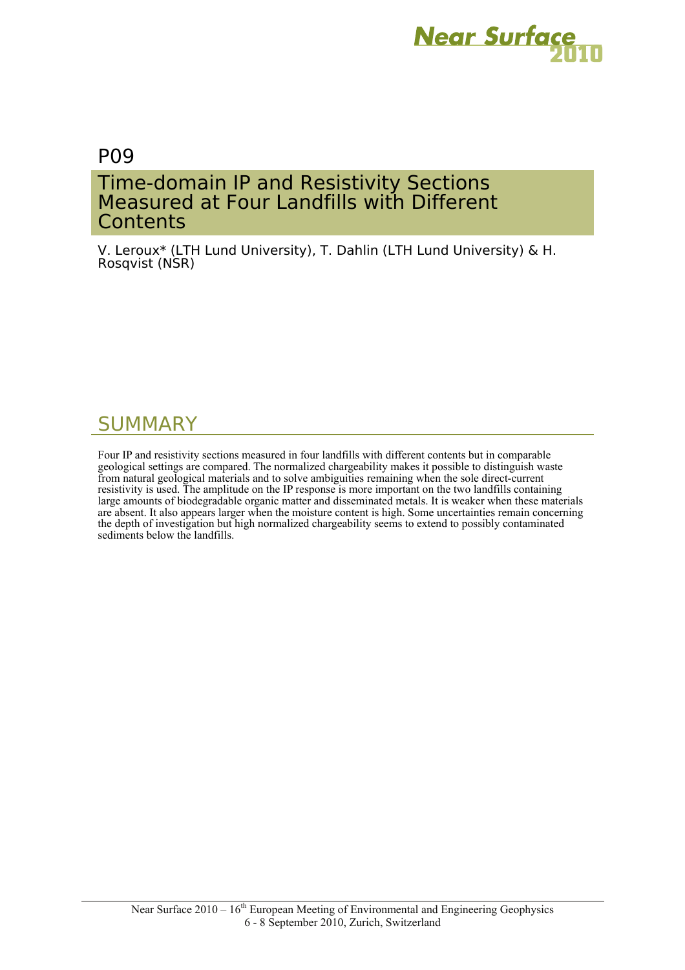

# P09

# Time-domain IP and Resistivity Sections Measured at Four Landfills with Different **Contents**

V. Leroux\* (LTH Lund University), T. Dahlin (LTH Lund University) & H. Rosqvist (NSR)

# SUMMARY

Four IP and resistivity sections measured in four landfills with different contents but in comparable geological settings are compared. The normalized chargeability makes it possible to distinguish waste from natural geological materials and to solve ambiguities remaining when the sole direct-current resistivity is used. The amplitude on the IP response is more important on the two landfills containing large amounts of biodegradable organic matter and disseminated metals. It is weaker when these materials are absent. It also appears larger when the moisture content is high. Some uncertainties remain concerning the depth of investigation but high normalized chargeability seems to extend to possibly contaminated sediments below the landfills.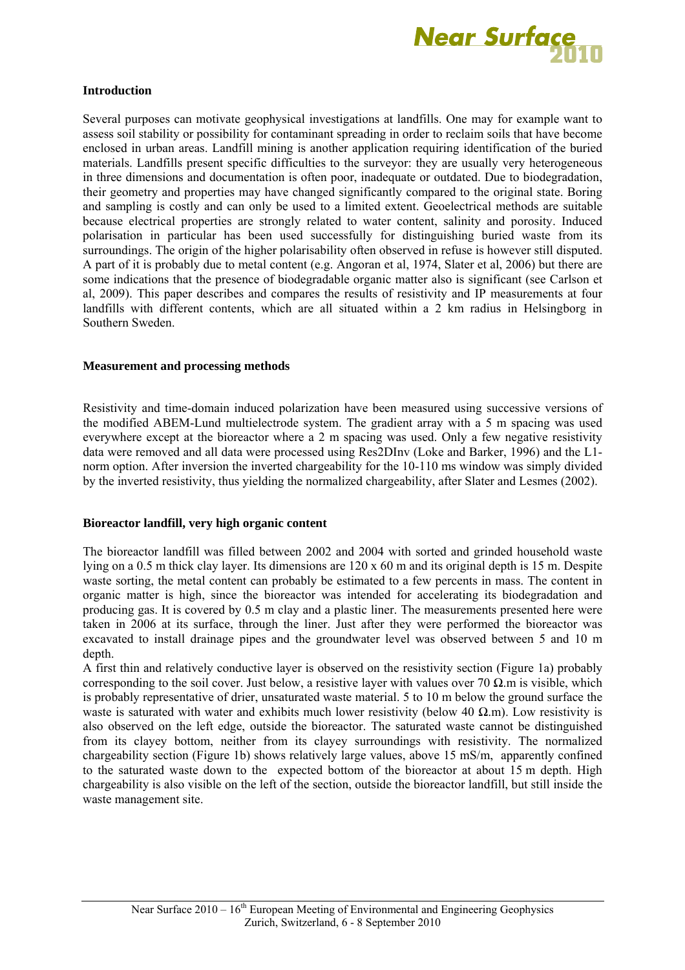

#### **Introduction**

Several purposes can motivate geophysical investigations at landfills. One may for example want to assess soil stability or possibility for contaminant spreading in order to reclaim soils that have become enclosed in urban areas. Landfill mining is another application requiring identification of the buried materials. Landfills present specific difficulties to the surveyor: they are usually very heterogeneous in three dimensions and documentation is often poor, inadequate or outdated. Due to biodegradation, their geometry and properties may have changed significantly compared to the original state. Boring and sampling is costly and can only be used to a limited extent. Geoelectrical methods are suitable because electrical properties are strongly related to water content, salinity and porosity. Induced polarisation in particular has been used successfully for distinguishing buried waste from its surroundings. The origin of the higher polarisability often observed in refuse is however still disputed. A part of it is probably due to metal content (e.g. Angoran et al, 1974, Slater et al, 2006) but there are some indications that the presence of biodegradable organic matter also is significant (see Carlson et al, 2009). This paper describes and compares the results of resistivity and IP measurements at four landfills with different contents, which are all situated within a 2 km radius in Helsingborg in Southern Sweden.

#### **Measurement and processing methods**

Resistivity and time-domain induced polarization have been measured using successive versions of the modified ABEM-Lund multielectrode system. The gradient array with a 5 m spacing was used everywhere except at the bioreactor where a 2 m spacing was used. Only a few negative resistivity data were removed and all data were processed using Res2DInv (Loke and Barker, 1996) and the L1 norm option. After inversion the inverted chargeability for the 10-110 ms window was simply divided by the inverted resistivity, thus yielding the normalized chargeability, after Slater and Lesmes (2002).

#### **Bioreactor landfill, very high organic content**

The bioreactor landfill was filled between 2002 and 2004 with sorted and grinded household waste lying on a 0.5 m thick clay layer. Its dimensions are 120 x 60 m and its original depth is 15 m. Despite waste sorting, the metal content can probably be estimated to a few percents in mass. The content in organic matter is high, since the bioreactor was intended for accelerating its biodegradation and producing gas. It is covered by 0.5 m clay and a plastic liner. The measurements presented here were taken in 2006 at its surface, through the liner. Just after they were performed the bioreactor was excavated to install drainage pipes and the groundwater level was observed between 5 and 10 m depth.

A first thin and relatively conductive layer is observed on the resistivity section (Figure 1a) probably corresponding to the soil cover. Just below, a resistive layer with values over 70  $\Omega$ .m is visible, which is probably representative of drier, unsaturated waste material. 5 to 10 m below the ground surface the waste is saturated with water and exhibits much lower resistivity (below 40  $\Omega$ .m). Low resistivity is also observed on the left edge, outside the bioreactor. The saturated waste cannot be distinguished from its clayey bottom, neither from its clayey surroundings with resistivity. The normalized chargeability section (Figure 1b) shows relatively large values, above 15 mS/m, apparently confined to the saturated waste down to the expected bottom of the bioreactor at about 15 m depth. High chargeability is also visible on the left of the section, outside the bioreactor landfill, but still inside the waste management site.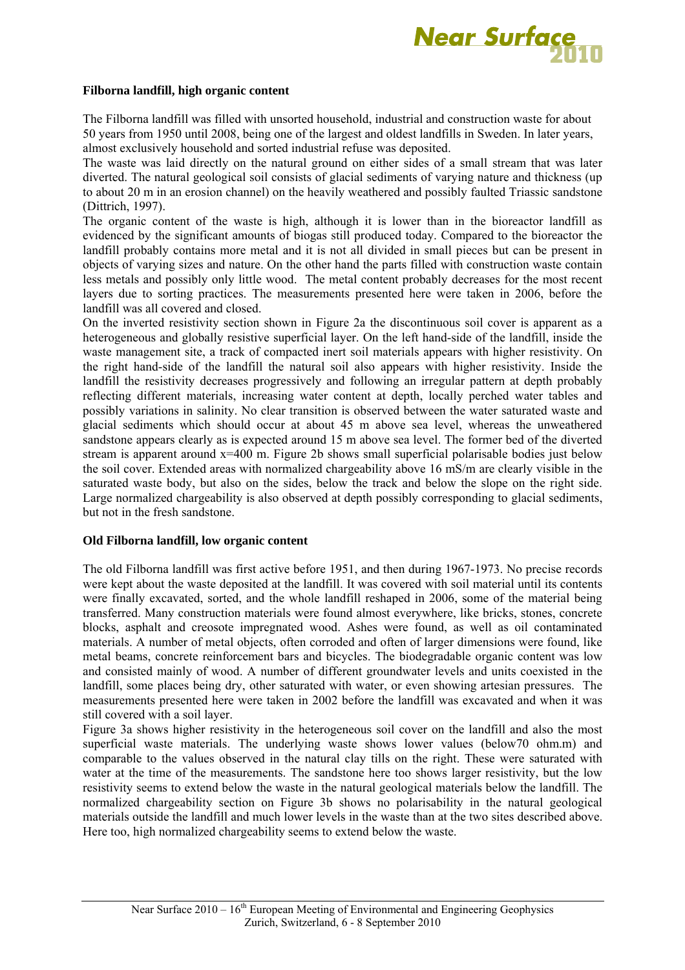

#### **Filborna landfill, high organic content**

The Filborna landfill was filled with unsorted household, industrial and construction waste for about 50 years from 1950 until 2008, being one of the largest and oldest landfills in Sweden. In later years, almost exclusively household and sorted industrial refuse was deposited.

The waste was laid directly on the natural ground on either sides of a small stream that was later diverted. The natural geological soil consists of glacial sediments of varying nature and thickness (up to about 20 m in an erosion channel) on the heavily weathered and possibly faulted Triassic sandstone (Dittrich, 1997).

The organic content of the waste is high, although it is lower than in the bioreactor landfill as evidenced by the significant amounts of biogas still produced today. Compared to the bioreactor the landfill probably contains more metal and it is not all divided in small pieces but can be present in objects of varying sizes and nature. On the other hand the parts filled with construction waste contain less metals and possibly only little wood. The metal content probably decreases for the most recent layers due to sorting practices. The measurements presented here were taken in 2006, before the landfill was all covered and closed.

On the inverted resistivity section shown in Figure 2a the discontinuous soil cover is apparent as a heterogeneous and globally resistive superficial layer. On the left hand-side of the landfill, inside the waste management site, a track of compacted inert soil materials appears with higher resistivity. On the right hand-side of the landfill the natural soil also appears with higher resistivity. Inside the landfill the resistivity decreases progressively and following an irregular pattern at depth probably reflecting different materials, increasing water content at depth, locally perched water tables and possibly variations in salinity. No clear transition is observed between the water saturated waste and glacial sediments which should occur at about 45 m above sea level, whereas the unweathered sandstone appears clearly as is expected around 15 m above sea level. The former bed of the diverted stream is apparent around x=400 m. Figure 2b shows small superficial polarisable bodies just below the soil cover. Extended areas with normalized chargeability above 16 mS/m are clearly visible in the saturated waste body, but also on the sides, below the track and below the slope on the right side. Large normalized chargeability is also observed at depth possibly corresponding to glacial sediments, but not in the fresh sandstone.

#### **Old Filborna landfill, low organic content**

The old Filborna landfill was first active before 1951, and then during 1967-1973. No precise records were kept about the waste deposited at the landfill. It was covered with soil material until its contents were finally excavated, sorted, and the whole landfill reshaped in 2006, some of the material being transferred. Many construction materials were found almost everywhere, like bricks, stones, concrete blocks, asphalt and creosote impregnated wood. Ashes were found, as well as oil contaminated materials. A number of metal objects, often corroded and often of larger dimensions were found, like metal beams, concrete reinforcement bars and bicycles. The biodegradable organic content was low and consisted mainly of wood. A number of different groundwater levels and units coexisted in the landfill, some places being dry, other saturated with water, or even showing artesian pressures. The measurements presented here were taken in 2002 before the landfill was excavated and when it was still covered with a soil layer.

Figure 3a shows higher resistivity in the heterogeneous soil cover on the landfill and also the most superficial waste materials. The underlying waste shows lower values (below70 ohm.m) and comparable to the values observed in the natural clay tills on the right. These were saturated with water at the time of the measurements. The sandstone here too shows larger resistivity, but the low resistivity seems to extend below the waste in the natural geological materials below the landfill. The normalized chargeability section on Figure 3b shows no polarisability in the natural geological materials outside the landfill and much lower levels in the waste than at the two sites described above. Here too, high normalized chargeability seems to extend below the waste.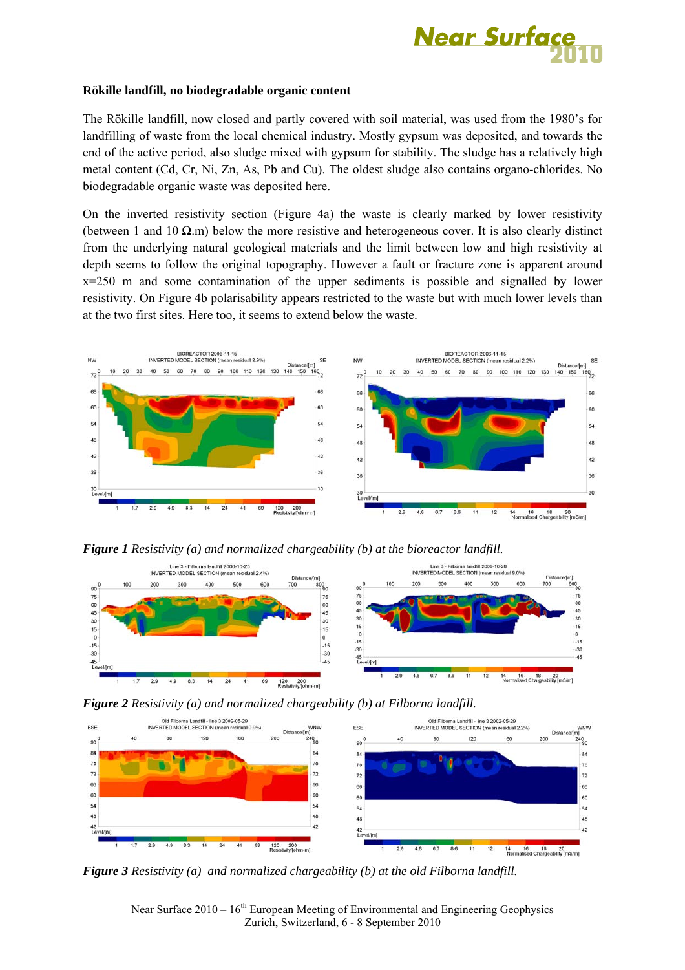

#### **Rökille landfill, no biodegradable organic content**

The Rökille landfill, now closed and partly covered with soil material, was used from the 1980's for landfilling of waste from the local chemical industry. Mostly gypsum was deposited, and towards the end of the active period, also sludge mixed with gypsum for stability. The sludge has a relatively high metal content (Cd, Cr, Ni, Zn, As, Pb and Cu). The oldest sludge also contains organo-chlorides. No biodegradable organic waste was deposited here.

On the inverted resistivity section (Figure 4a) the waste is clearly marked by lower resistivity (between 1 and 10  $\Omega$ .m) below the more resistive and heterogeneous cover. It is also clearly distinct from the underlying natural geological materials and the limit between low and high resistivity at depth seems to follow the original topography. However a fault or fracture zone is apparent around x=250 m and some contamination of the upper sediments is possible and signalled by lower resistivity. On Figure 4b polarisability appears restricted to the waste but with much lower levels than at the two first sites. Here too, it seems to extend below the waste.



*Figure 1 Resistivity (a) and normalized chargeability (b) at the bioreactor landfill.* 







*Figure 3 Resistivity (a) and normalized chargeability (b) at the old Filborna landfill.*